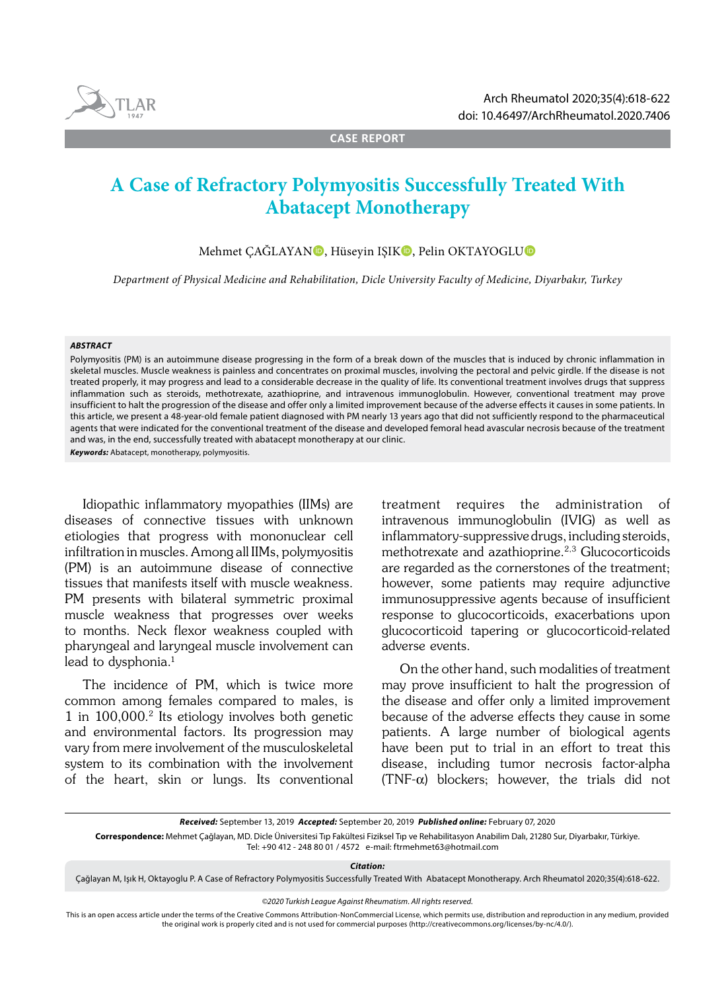

**CASE REPORT**

# **A Case of Refractory Polymyositis Successfully Treated With Abatacept Monotherapy**

Mehmet CAĞLAYAN**ı**, Hüseyin ISIK**i**, Pelin OKTAYOGLU**D** 

*Department of Physical Medicine and Rehabilitation, Dicle University Faculty of Medicine, Diyarbakır, Turkey*

#### *ABSTRACT*

Polymyositis (PM) is an autoimmune disease progressing in the form of a break down of the muscles that is induced by chronic inflammation in skeletal muscles. Muscle weakness is painless and concentrates on proximal muscles, involving the pectoral and pelvic girdle. If the disease is not treated properly, it may progress and lead to a considerable decrease in the quality of life. Its conventional treatment involves drugs that suppress inflammation such as steroids, methotrexate, azathioprine, and intravenous immunoglobulin. However, conventional treatment may prove insufficient to halt the progression of the disease and offer only a limited improvement because of the adverse effects it causes in some patients. In this article, we present a 48-year-old female patient diagnosed with PM nearly 13 years ago that did not sufficiently respond to the pharmaceutical agents that were indicated for the conventional treatment of the disease and developed femoral head avascular necrosis because of the treatment and was, in the end, successfully treated with abatacept monotherapy at our clinic.

*Keywords:* Abatacept, monotherapy, polymyositis.

Idiopathic inflammatory myopathies (IIMs) are diseases of connective tissues with unknown etiologies that progress with mononuclear cell infiltration in muscles. Among all IIMs, polymyositis (PM) is an autoimmune disease of connective tissues that manifests itself with muscle weakness. PM presents with bilateral symmetric proximal muscle weakness that progresses over weeks to months. Neck flexor weakness coupled with pharyngeal and laryngeal muscle involvement can lead to dysphonia.<sup>1</sup>

The incidence of PM, which is twice more common among females compared to males, is 1 in 100,000.2 Its etiology involves both genetic and environmental factors. Its progression may vary from mere involvement of the musculoskeletal system to its combination with the involvement of the heart, skin or lungs. Its conventional treatment requires the administration of intravenous immunoglobulin (IVIG) as well as inflammatory-suppressive drugs, including steroids, methotrexate and azathioprine.2,3 Glucocorticoids are regarded as the cornerstones of the treatment; however, some patients may require adjunctive immunosuppressive agents because of insufficient response to glucocorticoids, exacerbations upon glucocorticoid tapering or glucocorticoid-related adverse events.

On the other hand, such modalities of treatment may prove insufficient to halt the progression of the disease and offer only a limited improvement because of the adverse effects they cause in some patients. A large number of biological agents have been put to trial in an effort to treat this disease, including tumor necrosis factor-alpha (TNF- $\alpha$ ) blockers; however, the trials did not

*Citation:*

Çağlayan M, Işık H, Oktayoglu P. A Case of Refractory Polymyositis Successfully Treated With Abatacept Monotherapy. Arch Rheumatol 2020;35(4):618-622.

*©2020 Turkish League Against Rheumatism. All rights reserved.*

This is an open access article under the terms of the Creative Commons Attribution-NonCommercial License, which permits use, distribution and reproduction in any medium, provided the original work is properly cited and is not used for commercial purposes (http://creativecommons.org/licenses/by-nc/4.0/).

*Received:* September 13, 2019 *Accepted:* September 20, 2019 *Published online:* February 07, 2020

**Correspondence:** Mehmet Çağlayan, MD. Dicle Üniversitesi Tıp Fakültesi Fiziksel Tıp ve Rehabilitasyon Anabilim Dalı, 21280 Sur, Diyarbakır, Türkiye. Tel: +90 412 - 248 80 01 / 4572 e-mail: ftrmehmet63@hotmail.com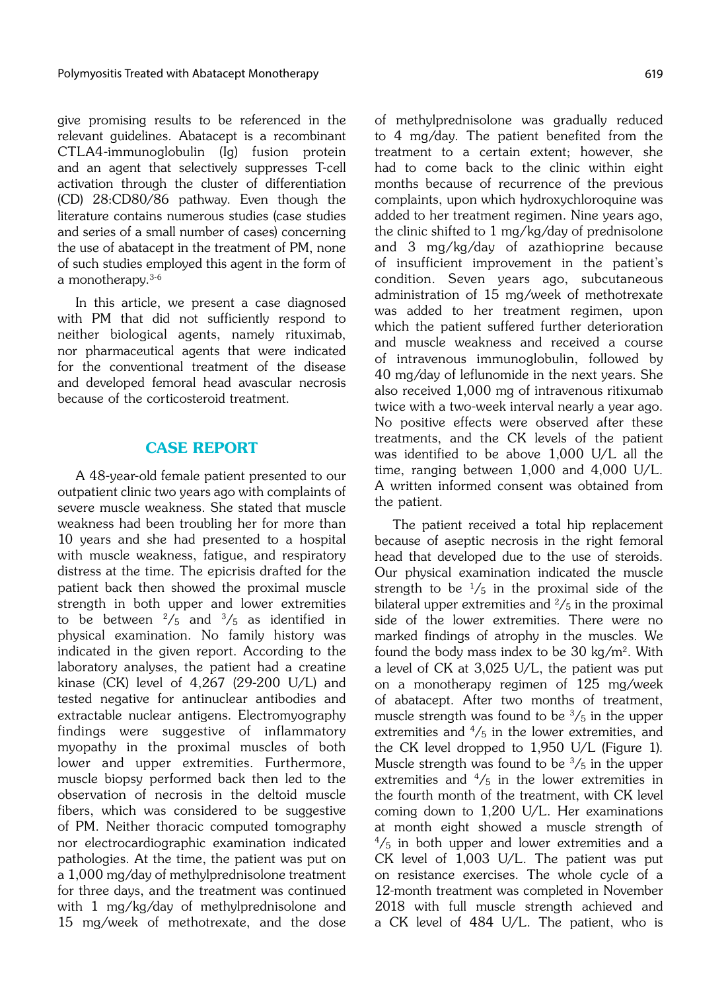give promising results to be referenced in the relevant guidelines. Abatacept is a recombinant CTLA4-immunoglobulin (Ig) fusion protein and an agent that selectively suppresses T-cell activation through the cluster of differentiation (CD) 28:CD80/86 pathway. Even though the literature contains numerous studies (case studies and series of a small number of cases) concerning the use of abatacept in the treatment of PM, none of such studies employed this agent in the form of a monotherapy.3-6

In this article, we present a case diagnosed with PM that did not sufficiently respond to neither biological agents, namely rituximab, nor pharmaceutical agents that were indicated for the conventional treatment of the disease and developed femoral head avascular necrosis because of the corticosteroid treatment.

## CASE REPORT

A 48-year-old female patient presented to our outpatient clinic two years ago with complaints of severe muscle weakness. She stated that muscle weakness had been troubling her for more than 10 years and she had presented to a hospital with muscle weakness, fatigue, and respiratory distress at the time. The epicrisis drafted for the patient back then showed the proximal muscle strength in both upper and lower extremities to be between  $\frac{2}{5}$  and  $\frac{3}{5}$  as identified in physical examination. No family history was indicated in the given report. According to the laboratory analyses, the patient had a creatine kinase (CK) level of 4,267 (29-200 U/L) and tested negative for antinuclear antibodies and extractable nuclear antigens. Electromyography findings were suggestive of inflammatory myopathy in the proximal muscles of both lower and upper extremities. Furthermore, muscle biopsy performed back then led to the observation of necrosis in the deltoid muscle fibers, which was considered to be suggestive of PM. Neither thoracic computed tomography nor electrocardiographic examination indicated pathologies. At the time, the patient was put on a 1,000 mg/day of methylprednisolone treatment for three days, and the treatment was continued with 1 mg/kg/day of methylprednisolone and 15 mg/week of methotrexate, and the dose of methylprednisolone was gradually reduced to 4 mg/day. The patient benefited from the treatment to a certain extent; however, she had to come back to the clinic within eight months because of recurrence of the previous complaints, upon which hydroxychloroquine was added to her treatment regimen. Nine years ago, the clinic shifted to 1 mg/kg/day of prednisolone and 3 mg/kg/day of azathioprine because of insufficient improvement in the patient's condition. Seven years ago, subcutaneous administration of 15 mg/week of methotrexate was added to her treatment regimen, upon which the patient suffered further deterioration and muscle weakness and received a course of intravenous immunoglobulin, followed by 40 mg/day of leflunomide in the next years. She also received 1,000 mg of intravenous ritixumab twice with a two-week interval nearly a year ago. No positive effects were observed after these treatments, and the CK levels of the patient was identified to be above 1,000 U/L all the time, ranging between 1,000 and 4,000 U/L. A written informed consent was obtained from the patient.

The patient received a total hip replacement because of aseptic necrosis in the right femoral head that developed due to the use of steroids. Our physical examination indicated the muscle strength to be  $\frac{1}{5}$  in the proximal side of the bilateral upper extremities and  $\frac{2}{5}$  in the proximal side of the lower extremities. There were no marked findings of atrophy in the muscles. We found the body mass index to be  $30 \text{ kg/m}^2$ . With a level of CK at 3,025 U/L, the patient was put on a monotherapy regimen of 125 mg/week of abatacept. After two months of treatment, muscle strength was found to be  $\frac{3}{5}$  in the upper extremities and  $\frac{4}{5}$  in the lower extremities, and the CK level dropped to 1,950 U/L (Figure 1). Muscle strength was found to be  $\frac{3}{5}$  in the upper extremities and  $\frac{4}{5}$  in the lower extremities in the fourth month of the treatment, with CK level coming down to 1,200 U/L. Her examinations at month eight showed a muscle strength of  $\frac{4}{5}$  in both upper and lower extremities and a CK level of 1,003 U/L. The patient was put on resistance exercises. The whole cycle of a 12-month treatment was completed in November 2018 with full muscle strength achieved and a CK level of 484 U/L. The patient, who is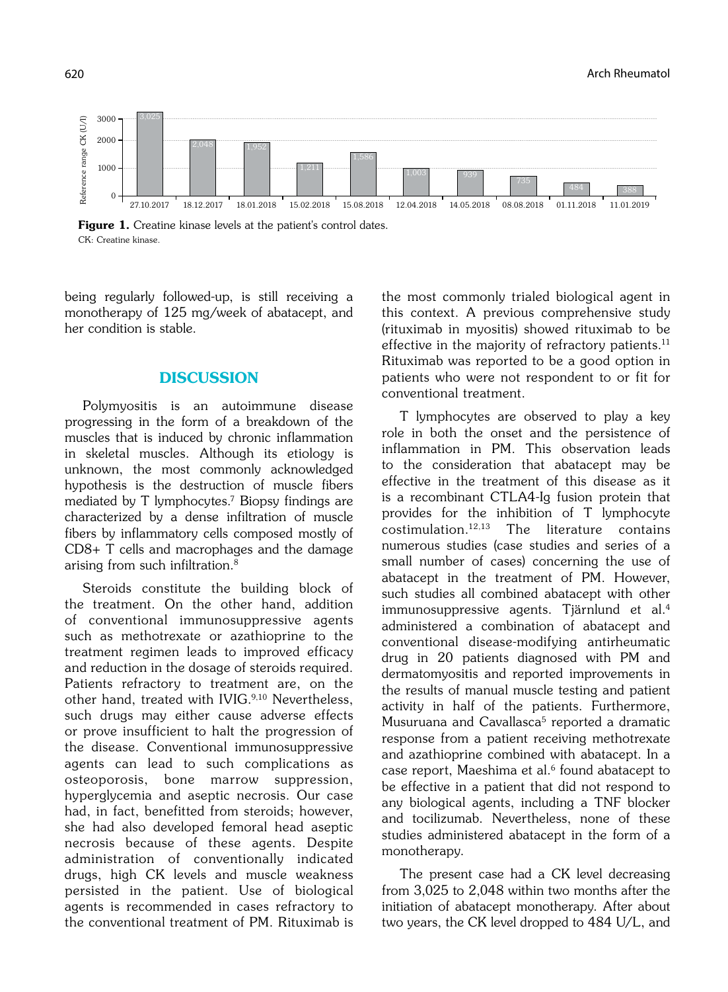

Figure 1. Creatine kinase levels at the patient's control dates. CK: Creatine kinase.

being regularly followed-up, is still receiving a monotherapy of 125 mg/week of abatacept, and her condition is stable.

## **DISCUSSION**

Polymyositis is an autoimmune disease progressing in the form of a breakdown of the muscles that is induced by chronic inflammation in skeletal muscles. Although its etiology is unknown, the most commonly acknowledged hypothesis is the destruction of muscle fibers mediated by T lymphocytes.7 Biopsy findings are characterized by a dense infiltration of muscle fibers by inflammatory cells composed mostly of CD8+ T cells and macrophages and the damage arising from such infiltration.8

Steroids constitute the building block of the treatment. On the other hand, addition of conventional immunosuppressive agents such as methotrexate or azathioprine to the treatment regimen leads to improved efficacy and reduction in the dosage of steroids required. Patients refractory to treatment are, on the other hand, treated with IVIG.<sup>9,10</sup> Nevertheless, such drugs may either cause adverse effects or prove insufficient to halt the progression of the disease. Conventional immunosuppressive agents can lead to such complications as osteoporosis, bone marrow suppression, hyperglycemia and aseptic necrosis. Our case had, in fact, benefitted from steroids; however, she had also developed femoral head aseptic necrosis because of these agents. Despite administration of conventionally indicated drugs, high CK levels and muscle weakness persisted in the patient. Use of biological agents is recommended in cases refractory to the conventional treatment of PM. Rituximab is

the most commonly trialed biological agent in this context. A previous comprehensive study (rituximab in myositis) showed rituximab to be effective in the majority of refractory patients.<sup>11</sup> Rituximab was reported to be a good option in patients who were not respondent to or fit for conventional treatment.

T lymphocytes are observed to play a key role in both the onset and the persistence of inflammation in PM. This observation leads to the consideration that abatacept may be effective in the treatment of this disease as it is a recombinant CTLA4-Ig fusion protein that provides for the inhibition of T lymphocyte  $\text{costimulation}$ .<sup>12,13</sup> The literature contains numerous studies (case studies and series of a small number of cases) concerning the use of abatacept in the treatment of PM. However, such studies all combined abatacept with other immunosuppressive agents. Tjärnlund et al.4 administered a combination of abatacept and conventional disease-modifying antirheumatic drug in 20 patients diagnosed with PM and dermatomyositis and reported improvements in the results of manual muscle testing and patient activity in half of the patients. Furthermore, Musuruana and Cavallasca<sup>5</sup> reported a dramatic response from a patient receiving methotrexate and azathioprine combined with abatacept. In a case report, Maeshima et al.<sup>6</sup> found abatacept to be effective in a patient that did not respond to any biological agents, including a TNF blocker and tocilizumab. Nevertheless, none of these studies administered abatacept in the form of a monotherapy.

The present case had a CK level decreasing from 3,025 to 2,048 within two months after the initiation of abatacept monotherapy. After about two years, the CK level dropped to 484 U/L, and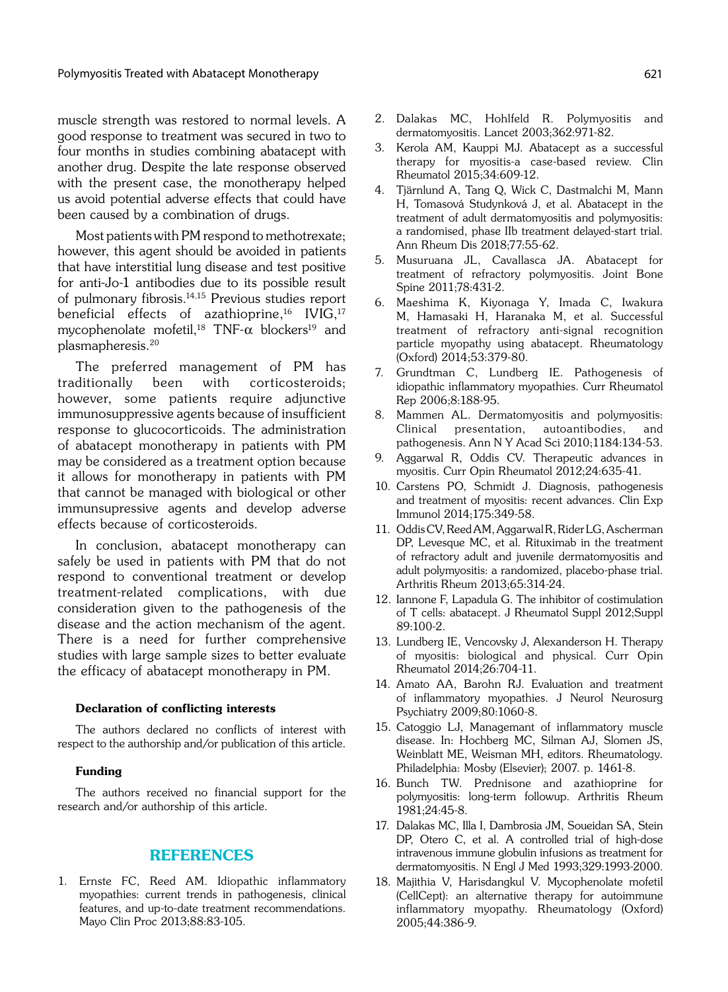muscle strength was restored to normal levels. A good response to treatment was secured in two to four months in studies combining abatacept with another drug. Despite the late response observed with the present case, the monotherapy helped us avoid potential adverse effects that could have been caused by a combination of drugs.

Most patients with PM respond to methotrexate; however, this agent should be avoided in patients that have interstitial lung disease and test positive for anti-Jo-1 antibodies due to its possible result of pulmonary fibrosis.14,15 Previous studies report beneficial effects of azathioprine,<sup>16</sup> IVIG,<sup>17</sup> mycophenolate mofetil,<sup>18</sup> TNF- $\alpha$  blockers<sup>19</sup> and plasmapheresis.20

The preferred management of PM has traditionally been with corticosteroids; however, some patients require adjunctive immunosuppressive agents because of insufficient response to glucocorticoids. The administration of abatacept monotherapy in patients with PM may be considered as a treatment option because it allows for monotherapy in patients with PM that cannot be managed with biological or other immunsupressive agents and develop adverse effects because of corticosteroids.

In conclusion, abatacept monotherapy can safely be used in patients with PM that do not respond to conventional treatment or develop treatment-related complications, with due consideration given to the pathogenesis of the disease and the action mechanism of the agent. There is a need for further comprehensive studies with large sample sizes to better evaluate the efficacy of abatacept monotherapy in PM.

#### Declaration of conflicting interests

The authors declared no conflicts of interest with respect to the authorship and/or publication of this article.

#### Funding

The authors received no financial support for the research and/or authorship of this article.

### REFERENCES

1. Ernste FC, Reed AM. Idiopathic inflammatory myopathies: current trends in pathogenesis, clinical features, and up-to-date treatment recommendations. Mayo Clin Proc 2013;88:83-105.

- 2. Dalakas MC, Hohlfeld R. Polymyositis and dermatomyositis. Lancet 2003;362:971-82.
- 3. Kerola AM, Kauppi MJ. Abatacept as a successful therapy for myositis-a case-based review. Clin Rheumatol 2015;34:609-12.
- 4. Tjärnlund A, Tang Q, Wick C, Dastmalchi M, Mann H, Tomasová Studynková J, et al. Abatacept in the treatment of adult dermatomyositis and polymyositis: a randomised, phase IIb treatment delayed-start trial. Ann Rheum Dis 2018;77:55-62.
- 5. Musuruana JL, Cavallasca JA. Abatacept for treatment of refractory polymyositis. Joint Bone Spine 2011;78:431-2.
- 6. Maeshima K, Kiyonaga Y, Imada C, Iwakura M, Hamasaki H, Haranaka M, et al. Successful treatment of refractory anti-signal recognition particle myopathy using abatacept. Rheumatology (Oxford) 2014;53:379-80.
- 7. Grundtman C, Lundberg IE. Pathogenesis of idiopathic inflammatory myopathies. Curr Rheumatol Rep 2006;8:188-95.
- Mammen AL. Dermatomyositis and polymyositis: Clinical presentation, autoantibodies, and pathogenesis. Ann N Y Acad Sci 2010;1184:134-53.
- 9. Aggarwal R, Oddis CV. Therapeutic advances in myositis. Curr Opin Rheumatol 2012;24:635-41.
- 10. Carstens PO, Schmidt J. Diagnosis, pathogenesis and treatment of myositis: recent advances. Clin Exp Immunol 2014;175:349-58.
- 11. Oddis CV, Reed AM, Aggarwal R, Rider LG, Ascherman DP, Levesque MC, et al. Rituximab in the treatment of refractory adult and juvenile dermatomyositis and adult polymyositis: a randomized, placebo-phase trial. Arthritis Rheum 2013;65:314-24.
- 12. Iannone F, Lapadula G. The inhibitor of costimulation of T cells: abatacept. J Rheumatol Suppl 2012;Suppl 89:100-2.
- 13. Lundberg IE, Vencovsky J, Alexanderson H. Therapy of myositis: biological and physical. Curr Opin Rheumatol 2014;26:704-11.
- 14. Amato AA, Barohn RJ. Evaluation and treatment of inflammatory myopathies. J Neurol Neurosurg Psychiatry 2009;80:1060-8.
- 15. Catoggio LJ, Managemant of inflammatory muscle disease. In: Hochberg MC, Silman AJ, Slomen JS, Weinblatt ME, Weisman MH, editors. Rheumatology. Philadelphia: Mosby (Elsevier); 2007. p. 1461-8.
- 16. Bunch TW. Prednisone and azathioprine for polymyositis: long-term followup. Arthritis Rheum 1981;24:45-8.
- 17. Dalakas MC, Illa I, Dambrosia JM, Soueidan SA, Stein DP, Otero C, et al. A controlled trial of high-dose intravenous immune globulin infusions as treatment for dermatomyositis. N Engl J Med 1993;329:1993-2000.
- 18. Majithia V, Harisdangkul V. Mycophenolate mofetil (CellCept): an alternative therapy for autoimmune inflammatory myopathy. Rheumatology (Oxford) 2005;44:386-9.